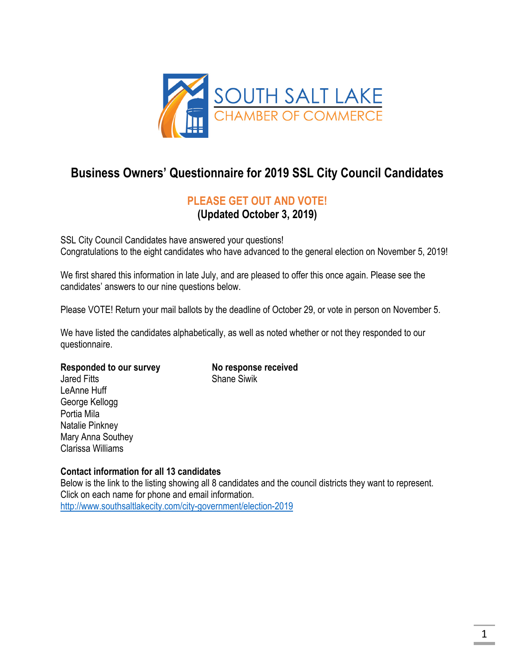

# **Business Owners' Questionnaire for 2019 SSL City Council Candidates**

## **PLEASE GET OUT AND VOTE!**

**(Updated October 3, 2019)** 

SSL City Council Candidates have answered your questions! Congratulations to the eight candidates who have advanced to the general election on November 5, 2019!

We first shared this information in late July, and are pleased to offer this once again. Please see the candidates' answers to our nine questions below.

Please VOTE! Return your mail ballots by the deadline of October 29, or vote in person on November 5.

We have listed the candidates alphabetically, as well as noted whether or not they responded to our questionnaire.

#### Responded to our survey **No response received**

Jared Fitts **Shane Similar Shane** Similar LeAnne Huff George Kellogg Portia Mila Natalie Pinkney Mary Anna Southey Clarissa Williams

#### **Contact information for all 13 candidates**

Below is the link to the listing showing all 8 candidates and the council districts they want to represent. Click on each name for phone and email information. http://www.southsaltlakecity.com/city-government/election-2019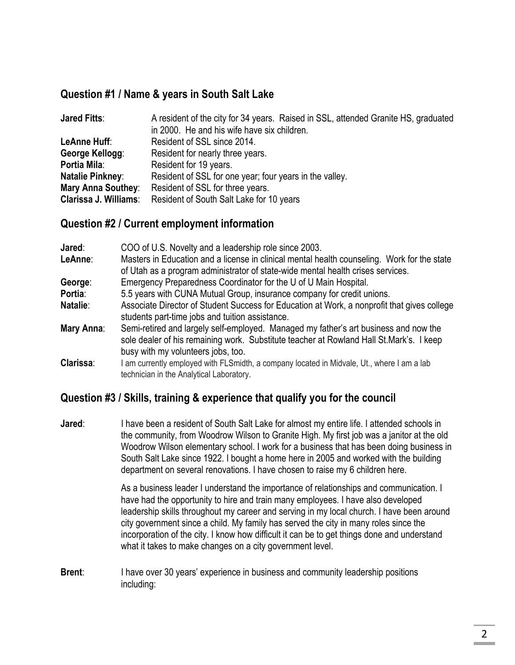### **Question #1 / Name & years in South Salt Lake**

| <b>Jared Fitts:</b>   | A resident of the city for 34 years. Raised in SSL, attended Granite HS, graduated |
|-----------------------|------------------------------------------------------------------------------------|
|                       | in 2000. He and his wife have six children.                                        |
| LeAnne Huff:          | Resident of SSL since 2014.                                                        |
| George Kellogg:       | Resident for nearly three years.                                                   |
| Portia Mila:          | Resident for 19 years.                                                             |
| Natalie Pinkney:      | Resident of SSL for one year; four years in the valley.                            |
| Mary Anna Southey:    | Resident of SSL for three years.                                                   |
| Clarissa J. Williams: | Resident of South Salt Lake for 10 years                                           |

### **Question #2 / Current employment information**

| Jared:<br>LeAnne: | COO of U.S. Novelty and a leadership role since 2003.<br>Masters in Education and a license in clinical mental health counseling. Work for the state<br>of Utah as a program administrator of state-wide mental health crises services. |
|-------------------|-----------------------------------------------------------------------------------------------------------------------------------------------------------------------------------------------------------------------------------------|
| George:           | Emergency Preparedness Coordinator for the U of U Main Hospital.                                                                                                                                                                        |
| Portia:           | 5.5 years with CUNA Mutual Group, insurance company for credit unions.                                                                                                                                                                  |
| Natalie:          | Associate Director of Student Success for Education at Work, a nonprofit that gives college<br>students part-time jobs and tuition assistance.                                                                                          |
| Mary Anna:        | Semi-retired and largely self-employed. Managed my father's art business and now the<br>sole dealer of his remaining work. Substitute teacher at Rowland Hall St.Mark's. I keep<br>busy with my volunteers jobs, too.                   |
| Clarissa:         | I am currently employed with FLSmidth, a company located in Midvale, Ut., where I am a lab<br>technician in the Analytical Laboratory.                                                                                                  |

### **Question #3 / Skills, training & experience that qualify you for the council**

**Jared:** I have been a resident of South Salt Lake for almost my entire life. I attended schools in the community, from Woodrow Wilson to Granite High. My first job was a janitor at the old Woodrow Wilson elementary school. I work for a business that has been doing business in South Salt Lake since 1922. I bought a home here in 2005 and worked with the building department on several renovations. I have chosen to raise my 6 children here.

> As a business leader I understand the importance of relationships and communication. I have had the opportunity to hire and train many employees. I have also developed leadership skills throughout my career and serving in my local church. I have been around city government since a child. My family has served the city in many roles since the incorporation of the city. I know how difficult it can be to get things done and understand what it takes to make changes on a city government level.

**Brent:** I have over 30 years' experience in business and community leadership positions including: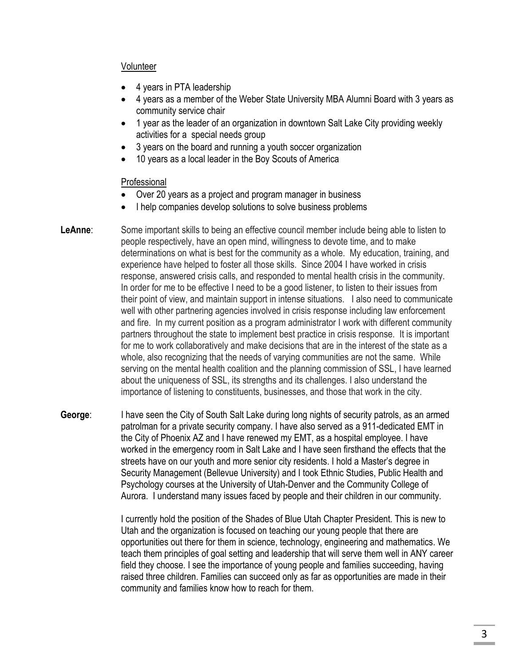#### Volunteer

- 4 years in PTA leadership
- 4 years as a member of the Weber State University MBA Alumni Board with 3 years as community service chair
- 1 year as the leader of an organization in downtown Salt Lake City providing weekly activities for a special needs group
- 3 years on the board and running a youth soccer organization
- 10 years as a local leader in the Boy Scouts of America

#### Professional

- Over 20 years as a project and program manager in business
- I help companies develop solutions to solve business problems
- **LeAnne**: Some important skills to being an effective council member include being able to listen to people respectively, have an open mind, willingness to devote time, and to make determinations on what is best for the community as a whole. My education, training, and experience have helped to foster all those skills. Since 2004 I have worked in crisis response, answered crisis calls, and responded to mental health crisis in the community. In order for me to be effective I need to be a good listener, to listen to their issues from their point of view, and maintain support in intense situations. I also need to communicate well with other partnering agencies involved in crisis response including law enforcement and fire. In my current position as a program administrator I work with different community partners throughout the state to implement best practice in crisis response. It is important for me to work collaboratively and make decisions that are in the interest of the state as a whole, also recognizing that the needs of varying communities are not the same. While serving on the mental health coalition and the planning commission of SSL, I have learned about the uniqueness of SSL, its strengths and its challenges. I also understand the importance of listening to constituents, businesses, and those that work in the city.
- **George**: I have seen the City of South Salt Lake during long nights of security patrols, as an armed patrolman for a private security company. I have also served as a 911-dedicated EMT in the City of Phoenix AZ and I have renewed my EMT, as a hospital employee. I have worked in the emergency room in Salt Lake and I have seen firsthand the effects that the streets have on our youth and more senior city residents. I hold a Master's degree in Security Management (Bellevue University) and I took Ethnic Studies, Public Health and Psychology courses at the University of Utah-Denver and the Community College of Aurora. I understand many issues faced by people and their children in our community.

I currently hold the position of the Shades of Blue Utah Chapter President. This is new to Utah and the organization is focused on teaching our young people that there are opportunities out there for them in science, technology, engineering and mathematics. We teach them principles of goal setting and leadership that will serve them well in ANY career field they choose. I see the importance of young people and families succeeding, having raised three children. Families can succeed only as far as opportunities are made in their community and families know how to reach for them.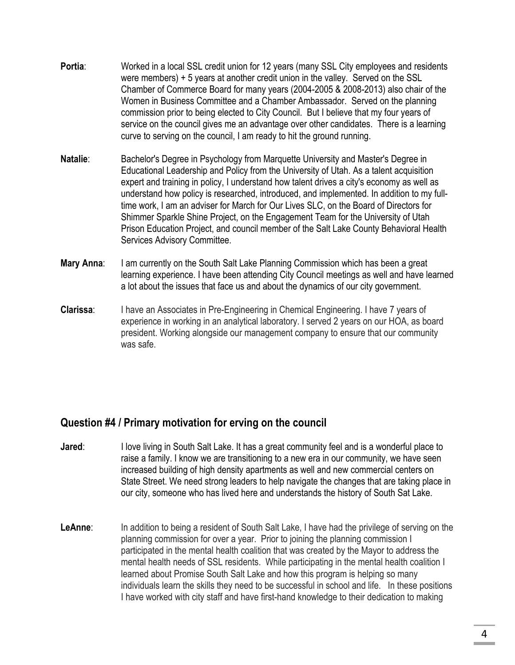- **Portia**: Worked in a local SSL credit union for 12 years (many SSL City employees and residents were members) + 5 years at another credit union in the valley. Served on the SSL Chamber of Commerce Board for many years (2004-2005 & 2008-2013) also chair of the Women in Business Committee and a Chamber Ambassador. Served on the planning commission prior to being elected to City Council. But I believe that my four years of service on the council gives me an advantage over other candidates. There is a learning curve to serving on the council, I am ready to hit the ground running.
- **Natalie:** Bachelor's Degree in Psychology from Marquette University and Master's Degree in Educational Leadership and Policy from the University of Utah. As a talent acquisition expert and training in policy, I understand how talent drives a city's economy as well as understand how policy is researched, introduced, and implemented. In addition to my fulltime work, I am an adviser for March for Our Lives SLC, on the Board of Directors for Shimmer Sparkle Shine Project, on the Engagement Team for the University of Utah Prison Education Project, and council member of the Salt Lake County Behavioral Health Services Advisory Committee.
- **Mary Anna:** I am currently on the South Salt Lake Planning Commission which has been a great learning experience. I have been attending City Council meetings as well and have learned a lot about the issues that face us and about the dynamics of our city government.
- **Clarissa:** I have an Associates in Pre-Engineering in Chemical Engineering. I have 7 years of experience in working in an analytical laboratory. I served 2 years on our HOA, as board president. Working alongside our management company to ensure that our community was safe.

### **Question #4 / Primary motivation for erving on the council**

- **Jared:** I love living in South Salt Lake. It has a great community feel and is a wonderful place to raise a family. I know we are transitioning to a new era in our community, we have seen increased building of high density apartments as well and new commercial centers on State Street. We need strong leaders to help navigate the changes that are taking place in our city, someone who has lived here and understands the history of South Sat Lake.
- LeAnne: In addition to being a resident of South Salt Lake, I have had the privilege of serving on the planning commission for over a year. Prior to joining the planning commission I participated in the mental health coalition that was created by the Mayor to address the mental health needs of SSL residents. While participating in the mental health coalition I learned about Promise South Salt Lake and how this program is helping so many individuals learn the skills they need to be successful in school and life. In these positions I have worked with city staff and have first-hand knowledge to their dedication to making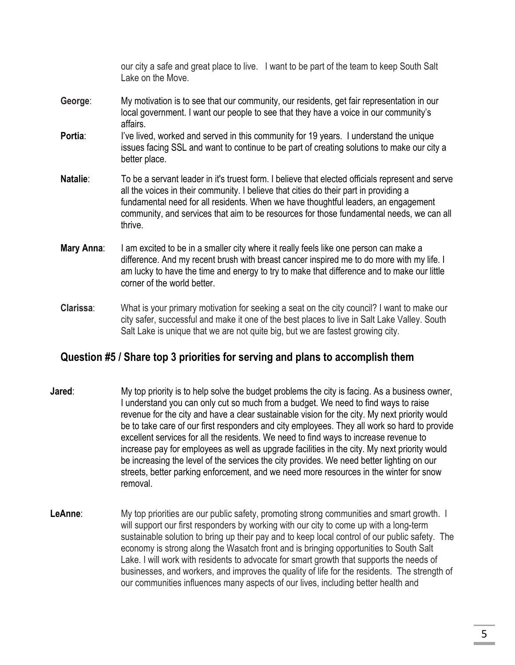our city a safe and great place to live. I want to be part of the team to keep South Salt Lake on the Move.

- **George**: My motivation is to see that our community, our residents, get fair representation in our local government. I want our people to see that they have a voice in our community's affairs.
- **Portia:** I've lived, worked and served in this community for 19 years. I understand the unique issues facing SSL and want to continue to be part of creating solutions to make our city a better place.
- **Natalie**: To be a servant leader in it's truest form. I believe that elected officials represent and serve all the voices in their community. I believe that cities do their part in providing a fundamental need for all residents. When we have thoughtful leaders, an engagement community, and services that aim to be resources for those fundamental needs, we can all thrive.
- **Mary Anna:** I am excited to be in a smaller city where it really feels like one person can make a difference. And my recent brush with breast cancer inspired me to do more with my life. I am lucky to have the time and energy to try to make that difference and to make our little corner of the world better.
- **Clarissa**: What is your primary motivation for seeking a seat on the city council? I want to make our city safer, successful and make it one of the best places to live in Salt Lake Valley. South Salt Lake is unique that we are not quite big, but we are fastest growing city.

### **Question #5 / Share top 3 priorities for serving and plans to accomplish them**

- **Jared:** My top priority is to help solve the budget problems the city is facing. As a business owner, I understand you can only cut so much from a budget. We need to find ways to raise revenue for the city and have a clear sustainable vision for the city. My next priority would be to take care of our first responders and city employees. They all work so hard to provide excellent services for all the residents. We need to find ways to increase revenue to increase pay for employees as well as upgrade facilities in the city. My next priority would be increasing the level of the services the city provides. We need better lighting on our streets, better parking enforcement, and we need more resources in the winter for snow removal.
- **LeAnne:** My top priorities are our public safety, promoting strong communities and smart growth. I will support our first responders by working with our city to come up with a long-term sustainable solution to bring up their pay and to keep local control of our public safety. The economy is strong along the Wasatch front and is bringing opportunities to South Salt Lake. I will work with residents to advocate for smart growth that supports the needs of businesses, and workers, and improves the quality of life for the residents. The strength of our communities influences many aspects of our lives, including better health and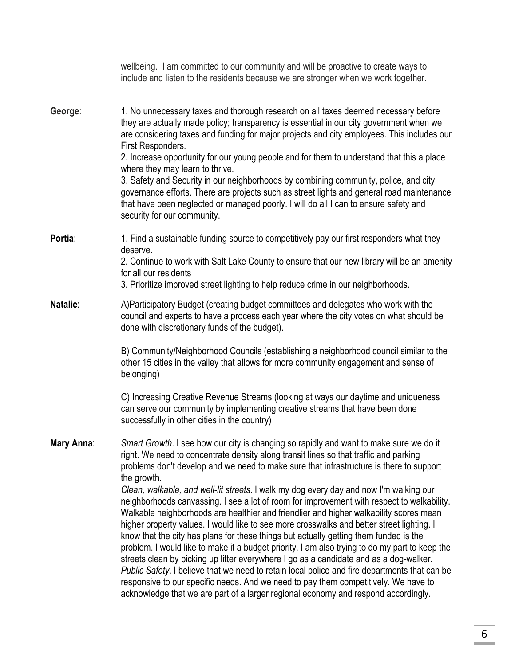|            | wellbeing. I am committed to our community and will be proactive to create ways to<br>include and listen to the residents because we are stronger when we work together.                                                                                                                                                                                                                                                                                                                                                                                                                                                                                                                                                                                                                                                                                                                                                                                                                                                                                                                                                                                                                                                                    |
|------------|---------------------------------------------------------------------------------------------------------------------------------------------------------------------------------------------------------------------------------------------------------------------------------------------------------------------------------------------------------------------------------------------------------------------------------------------------------------------------------------------------------------------------------------------------------------------------------------------------------------------------------------------------------------------------------------------------------------------------------------------------------------------------------------------------------------------------------------------------------------------------------------------------------------------------------------------------------------------------------------------------------------------------------------------------------------------------------------------------------------------------------------------------------------------------------------------------------------------------------------------|
| George:    | 1. No unnecessary taxes and thorough research on all taxes deemed necessary before<br>they are actually made policy; transparency is essential in our city government when we<br>are considering taxes and funding for major projects and city employees. This includes our<br>First Responders.<br>2. Increase opportunity for our young people and for them to understand that this a place<br>where they may learn to thrive.<br>3. Safety and Security in our neighborhoods by combining community, police, and city<br>governance efforts. There are projects such as street lights and general road maintenance<br>that have been neglected or managed poorly. I will do all I can to ensure safety and<br>security for our community.                                                                                                                                                                                                                                                                                                                                                                                                                                                                                                |
| Portia:    | 1. Find a sustainable funding source to competitively pay our first responders what they<br>deserve.<br>2. Continue to work with Salt Lake County to ensure that our new library will be an amenity<br>for all our residents<br>3. Prioritize improved street lighting to help reduce crime in our neighborhoods.                                                                                                                                                                                                                                                                                                                                                                                                                                                                                                                                                                                                                                                                                                                                                                                                                                                                                                                           |
| Natalie:   | A)Participatory Budget (creating budget committees and delegates who work with the<br>council and experts to have a process each year where the city votes on what should be<br>done with discretionary funds of the budget).<br>B) Community/Neighborhood Councils (establishing a neighborhood council similar to the<br>other 15 cities in the valley that allows for more community engagement and sense of<br>belonging)                                                                                                                                                                                                                                                                                                                                                                                                                                                                                                                                                                                                                                                                                                                                                                                                               |
|            | C) Increasing Creative Revenue Streams (looking at ways our daytime and uniqueness<br>can serve our community by implementing creative streams that have been done<br>successfully in other cities in the country)                                                                                                                                                                                                                                                                                                                                                                                                                                                                                                                                                                                                                                                                                                                                                                                                                                                                                                                                                                                                                          |
| Mary Anna: | Smart Growth. I see how our city is changing so rapidly and want to make sure we do it<br>right. We need to concentrate density along transit lines so that traffic and parking<br>problems don't develop and we need to make sure that infrastructure is there to support<br>the growth.<br>Clean, walkable, and well-lit streets. I walk my dog every day and now I'm walking our<br>neighborhoods canvassing. I see a lot of room for improvement with respect to walkability.<br>Walkable neighborhoods are healthier and friendlier and higher walkability scores mean<br>higher property values. I would like to see more crosswalks and better street lighting. I<br>know that the city has plans for these things but actually getting them funded is the<br>problem. I would like to make it a budget priority. I am also trying to do my part to keep the<br>streets clean by picking up litter everywhere I go as a candidate and as a dog-walker.<br>Public Safety. I believe that we need to retain local police and fire departments that can be<br>responsive to our specific needs. And we need to pay them competitively. We have to<br>acknowledge that we are part of a larger regional economy and respond accordingly. |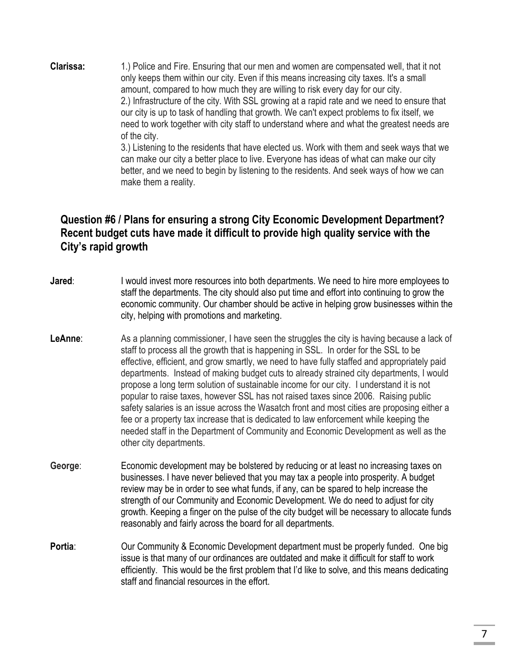**Clarissa:** 1.) Police and Fire. Ensuring that our men and women are compensated well, that it not only keeps them within our city. Even if this means increasing city taxes. It's a small amount, compared to how much they are willing to risk every day for our city. 2.) Infrastructure of the city. With SSL growing at a rapid rate and we need to ensure that our city is up to task of handling that growth. We can't expect problems to fix itself, we need to work together with city staff to understand where and what the greatest needs are of the city.

3.) Listening to the residents that have elected us. Work with them and seek ways that we can make our city a better place to live. Everyone has ideas of what can make our city better, and we need to begin by listening to the residents. And seek ways of how we can make them a reality.

### **Question #6 / Plans for ensuring a strong City Economic Development Department? Recent budget cuts have made it difficult to provide high quality service with the City's rapid growth**

- **Jared:** I would invest more resources into both departments. We need to hire more employees to staff the departments. The city should also put time and effort into continuing to grow the economic community. Our chamber should be active in helping grow businesses within the city, helping with promotions and marketing.
- **LeAnne:** As a planning commissioner, I have seen the struggles the city is having because a lack of staff to process all the growth that is happening in SSL. In order for the SSL to be effective, efficient, and grow smartly, we need to have fully staffed and appropriately paid departments. Instead of making budget cuts to already strained city departments, I would propose a long term solution of sustainable income for our city. I understand it is not popular to raise taxes, however SSL has not raised taxes since 2006. Raising public safety salaries is an issue across the Wasatch front and most cities are proposing either a fee or a property tax increase that is dedicated to law enforcement while keeping the needed staff in the Department of Community and Economic Development as well as the other city departments.
- **George**: Economic development may be bolstered by reducing or at least no increasing taxes on businesses. I have never believed that you may tax a people into prosperity. A budget review may be in order to see what funds, if any, can be spared to help increase the strength of our Community and Economic Development. We do need to adjust for city growth. Keeping a finger on the pulse of the city budget will be necessary to allocate funds reasonably and fairly across the board for all departments.
- **Portia:** Our Community & Economic Development department must be properly funded. One big issue is that many of our ordinances are outdated and make it difficult for staff to work efficiently. This would be the first problem that I'd like to solve, and this means dedicating staff and financial resources in the effort.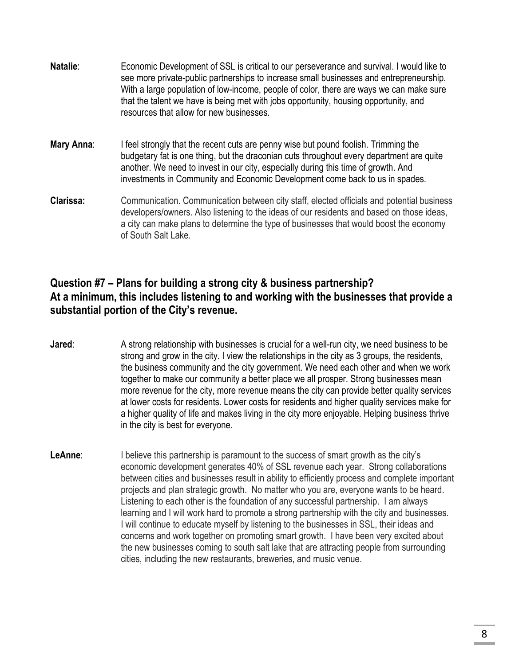- **Natalie**: Economic Development of SSL is critical to our perseverance and survival. I would like to see more private-public partnerships to increase small businesses and entrepreneurship. With a large population of low-income, people of color, there are ways we can make sure that the talent we have is being met with jobs opportunity, housing opportunity, and resources that allow for new businesses. **Mary Anna:** I feel strongly that the recent cuts are penny wise but pound foolish. Trimming the budgetary fat is one thing, but the draconian cuts throughout every department are quite another. We need to invest in our city, especially during this time of growth. And investments in Community and Economic Development come back to us in spades.
- **Clarissa:** Communication. Communication between city staff, elected officials and potential business developers/owners. Also listening to the ideas of our residents and based on those ideas, a city can make plans to determine the type of businesses that would boost the economy of South Salt Lake.

### **Question #7 – Plans for building a strong city & business partnership? At a minimum, this includes listening to and working with the businesses that provide a substantial portion of the City's revenue.**

- **Jared:** A strong relationship with businesses is crucial for a well-run city, we need business to be strong and grow in the city. I view the relationships in the city as 3 groups, the residents, the business community and the city government. We need each other and when we work together to make our community a better place we all prosper. Strong businesses mean more revenue for the city, more revenue means the city can provide better quality services at lower costs for residents. Lower costs for residents and higher quality services make for a higher quality of life and makes living in the city more enjoyable. Helping business thrive in the city is best for everyone.
- **LeAnne**: I believe this partnership is paramount to the success of smart growth as the city's economic development generates 40% of SSL revenue each year. Strong collaborations between cities and businesses result in ability to efficiently process and complete important projects and plan strategic growth. No matter who you are, everyone wants to be heard. Listening to each other is the foundation of any successful partnership. I am always learning and I will work hard to promote a strong partnership with the city and businesses. I will continue to educate myself by listening to the businesses in SSL, their ideas and concerns and work together on promoting smart growth. I have been very excited about the new businesses coming to south salt lake that are attracting people from surrounding cities, including the new restaurants, breweries, and music venue.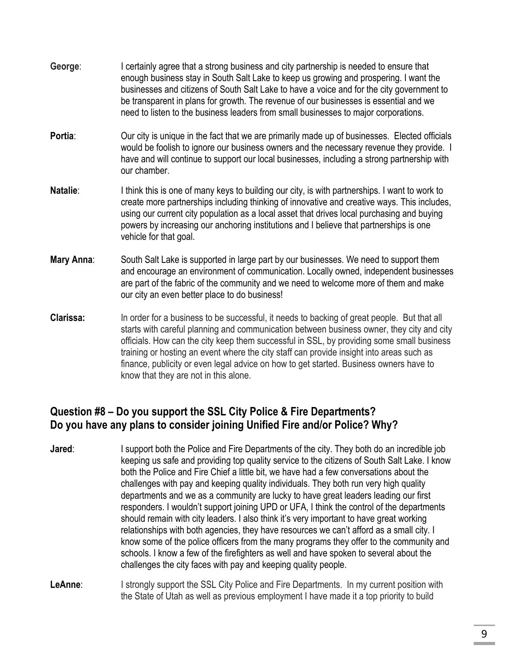- **George**: I certainly agree that a strong business and city partnership is needed to ensure that enough business stay in South Salt Lake to keep us growing and prospering. I want the businesses and citizens of South Salt Lake to have a voice and for the city government to be transparent in plans for growth. The revenue of our businesses is essential and we need to listen to the business leaders from small businesses to major corporations.
- **Portia:** Our city is unique in the fact that we are primarily made up of businesses. Elected officials would be foolish to ignore our business owners and the necessary revenue they provide. I have and will continue to support our local businesses, including a strong partnership with our chamber.
- **Natalie:** I think this is one of many keys to building our city, is with partnerships. I want to work to create more partnerships including thinking of innovative and creative ways. This includes, using our current city population as a local asset that drives local purchasing and buying powers by increasing our anchoring institutions and I believe that partnerships is one vehicle for that goal.
- **Mary Anna**: South Salt Lake is supported in large part by our businesses. We need to support them and encourage an environment of communication. Locally owned, independent businesses are part of the fabric of the community and we need to welcome more of them and make our city an even better place to do business!
- **Clarissa:** In order for a business to be successful, it needs to backing of great people. But that all starts with careful planning and communication between business owner, they city and city officials. How can the city keep them successful in SSL, by providing some small business training or hosting an event where the city staff can provide insight into areas such as finance, publicity or even legal advice on how to get started. Business owners have to know that they are not in this alone.

### **Question #8 – Do you support the SSL City Police & Fire Departments? Do you have any plans to consider joining Unified Fire and/or Police? Why?**

- **Jared**: I support both the Police and Fire Departments of the city. They both do an incredible job keeping us safe and providing top quality service to the citizens of South Salt Lake. I know both the Police and Fire Chief a little bit, we have had a few conversations about the challenges with pay and keeping quality individuals. They both run very high quality departments and we as a community are lucky to have great leaders leading our first responders. I wouldn't support joining UPD or UFA, I think the control of the departments should remain with city leaders. I also think it's very important to have great working relationships with both agencies, they have resources we can't afford as a small city. I know some of the police officers from the many programs they offer to the community and schools. I know a few of the firefighters as well and have spoken to several about the challenges the city faces with pay and keeping quality people.
- **LeAnne:** I strongly support the SSL City Police and Fire Departments. In my current position with the State of Utah as well as previous employment I have made it a top priority to build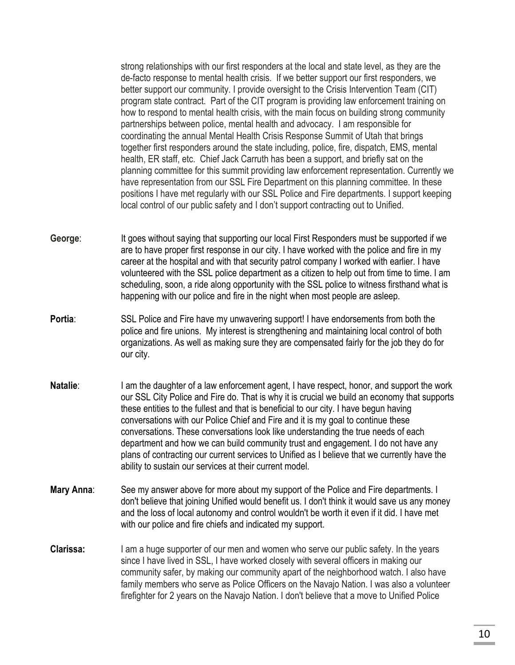strong relationships with our first responders at the local and state level, as they are the de-facto response to mental health crisis. If we better support our first responders, we better support our community. I provide oversight to the Crisis Intervention Team (CIT) program state contract. Part of the CIT program is providing law enforcement training on how to respond to mental health crisis, with the main focus on building strong community partnerships between police, mental health and advocacy. I am responsible for coordinating the annual Mental Health Crisis Response Summit of Utah that brings together first responders around the state including, police, fire, dispatch, EMS, mental health, ER staff, etc. Chief Jack Carruth has been a support, and briefly sat on the planning committee for this summit providing law enforcement representation. Currently we have representation from our SSL Fire Department on this planning committee. In these positions I have met regularly with our SSL Police and Fire departments. I support keeping local control of our public safety and I don't support contracting out to Unified.

- **George**: It goes without saying that supporting our local First Responders must be supported if we are to have proper first response in our city. I have worked with the police and fire in my career at the hospital and with that security patrol company I worked with earlier. I have volunteered with the SSL police department as a citizen to help out from time to time. I am scheduling, soon, a ride along opportunity with the SSL police to witness firsthand what is happening with our police and fire in the night when most people are asleep.
- **Portia:** SSL Police and Fire have my unwavering support! I have endorsements from both the police and fire unions. My interest is strengthening and maintaining local control of both organizations. As well as making sure they are compensated fairly for the job they do for our city.
- **Natalie**: I am the daughter of a law enforcement agent, I have respect, honor, and support the work our SSL City Police and Fire do. That is why it is crucial we build an economy that supports these entities to the fullest and that is beneficial to our city. I have begun having conversations with our Police Chief and Fire and it is my goal to continue these conversations. These conversations look like understanding the true needs of each department and how we can build community trust and engagement. I do not have any plans of contracting our current services to Unified as I believe that we currently have the ability to sustain our services at their current model.
- **Mary Anna**: See my answer above for more about my support of the Police and Fire departments. I don't believe that joining Unified would benefit us. I don't think it would save us any money and the loss of local autonomy and control wouldn't be worth it even if it did. I have met with our police and fire chiefs and indicated my support.
- **Clarissa:** I am a huge supporter of our men and women who serve our public safety. In the years since I have lived in SSL, I have worked closely with several officers in making our community safer, by making our community apart of the neighborhood watch. I also have family members who serve as Police Officers on the Navajo Nation. I was also a volunteer firefighter for 2 years on the Navajo Nation. I don't believe that a move to Unified Police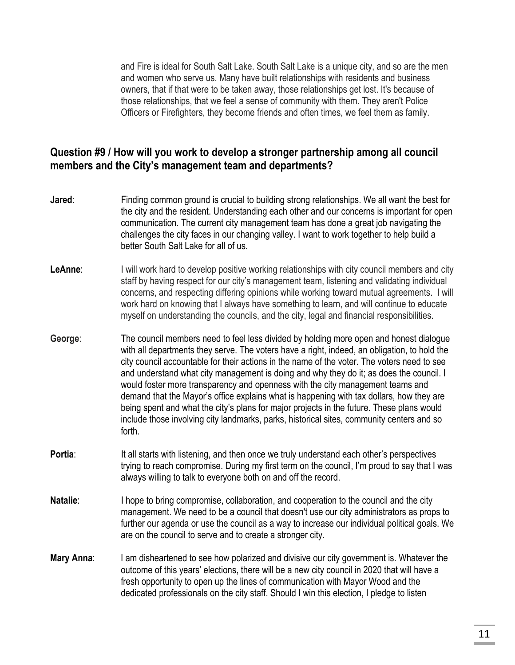and Fire is ideal for South Salt Lake. South Salt Lake is a unique city, and so are the men and women who serve us. Many have built relationships with residents and business owners, that if that were to be taken away, those relationships get lost. It's because of those relationships, that we feel a sense of community with them. They aren't Police Officers or Firefighters, they become friends and often times, we feel them as family.

### **Question #9 / How will you work to develop a stronger partnership among all council members and the City's management team and departments?**

- **Jared:** Finding common ground is crucial to building strong relationships. We all want the best for the city and the resident. Understanding each other and our concerns is important for open communication. The current city management team has done a great job navigating the challenges the city faces in our changing valley. I want to work together to help build a better South Salt Lake for all of us.
- **LeAnne:** I will work hard to develop positive working relationships with city council members and city staff by having respect for our city's management team, listening and validating individual concerns, and respecting differing opinions while working toward mutual agreements. I will work hard on knowing that I always have something to learn, and will continue to educate myself on understanding the councils, and the city, legal and financial responsibilities.
- **George**: The council members need to feel less divided by holding more open and honest dialogue with all departments they serve. The voters have a right, indeed, an obligation, to hold the city council accountable for their actions in the name of the voter. The voters need to see and understand what city management is doing and why they do it; as does the council. I would foster more transparency and openness with the city management teams and demand that the Mayor's office explains what is happening with tax dollars, how they are being spent and what the city's plans for major projects in the future. These plans would include those involving city landmarks, parks, historical sites, community centers and so forth.
- **Portia:** It all starts with listening, and then once we truly understand each other's perspectives trying to reach compromise. During my first term on the council, I'm proud to say that I was always willing to talk to everyone both on and off the record.
- **Natalie:** I hope to bring compromise, collaboration, and cooperation to the council and the city management. We need to be a council that doesn't use our city administrators as props to further our agenda or use the council as a way to increase our individual political goals. We are on the council to serve and to create a stronger city.
- **Mary Anna:** I am disheartened to see how polarized and divisive our city government is. Whatever the outcome of this years' elections, there will be a new city council in 2020 that will have a fresh opportunity to open up the lines of communication with Mayor Wood and the dedicated professionals on the city staff. Should I win this election, I pledge to listen